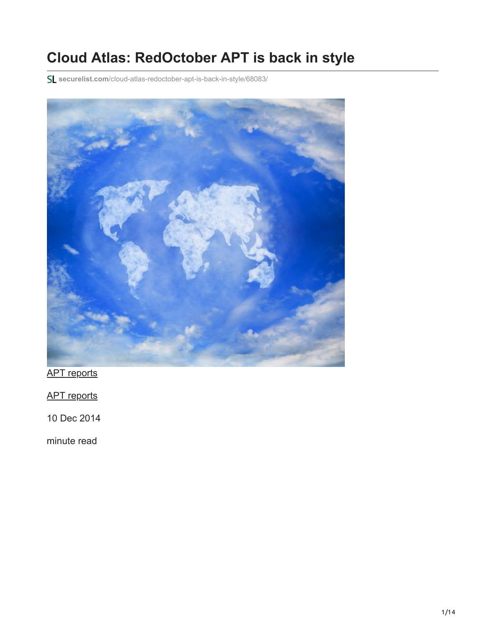## **Cloud Atlas: RedOctober APT is back in style**

**securelist.com**[/cloud-atlas-redoctober-apt-is-back-in-style/68083/](https://securelist.com/cloud-atlas-redoctober-apt-is-back-in-style/68083/)



[APT reports](https://securelist.com/category/apt-reports/)

[APT reports](https://securelist.com/category/apt-reports/)

10 Dec 2014

minute read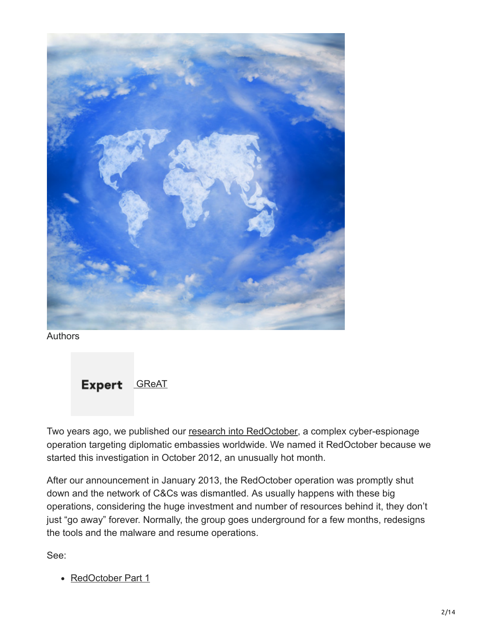

Authors



Two years ago, we published our [research into RedOctober](https://securelist.com/red-october-diplomatic-cyber-attacks-investigation/36740/), a complex cyber-espionage operation targeting diplomatic embassies worldwide. We named it RedOctober because we started this investigation in October 2012, an unusually hot month.

After our announcement in January 2013, the RedOctober operation was promptly shut down and the network of C&Cs was dismantled. As usually happens with these big operations, considering the huge investment and number of resources behind it, they don't just "go away" forever. Normally, the group goes underground for a few months, redesigns the tools and the malware and resume operations.

See:

• [RedOctober Part 1](https://securelist.com/the-red-october-campaign/57647/)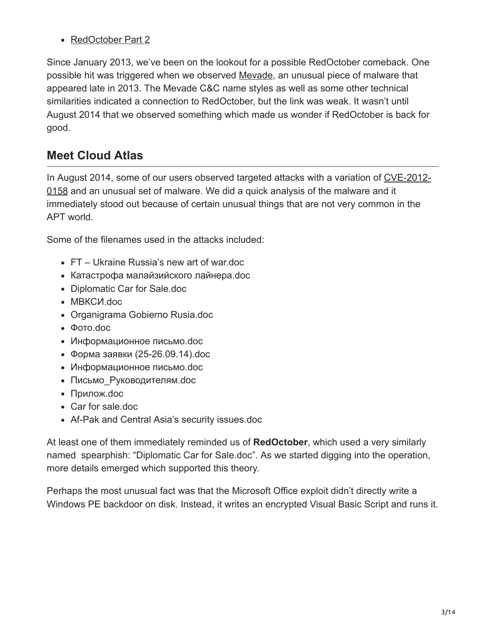• [RedOctober Part 2](https://securelist.com/red-october-part-two-the-modules/57645/)

Since January 2013, we've been on the lookout for a possible RedOctober comeback. One possible hit was triggered when we observed [Mevade,](http://en.wikipedia.org/wiki/Mevade_Botnet) an unusual piece of malware that appeared late in 2013. The Mevade C&C name styles as well as some other technical similarities indicated a connection to RedOctober, but the link was weak. It wasn't until August 2014 that we observed something which made us wonder if RedOctober is back for good.

## **Meet Cloud Atlas**

[In August 2014, some of our users observed targeted attacks with a variation of CVE-2012-](http://www.cve.mitre.org/cgi-bin/cvename.cgi?name=CVE-2012-0158) 0158 and an unusual set of malware. We did a quick analysis of the malware and it immediately stood out because of certain unusual things that are not very common in the APT world.

Some of the filenames used in the attacks included:

- FT Ukraine Russia's new art of war.doc
- Катастрофа малайзийского лайнера.doc
- Diplomatic Car for Sale.doc
- МВКСИ.doc
- Organigrama Gobierno Rusia.doc
- Фото.doc
- Информационное письмо.doc
- Форма заявки (25-26.09.14).doc
- Информационное письмо.doc
- Письмо Руководителям.doc
- Прилож.doc
- Car for sale.doc
- Af-Pak and Central Asia's security issues.doc

At least one of them immediately reminded us of **RedOctober**, which used a very similarly named spearphish: "Diplomatic Car for Sale.doc". As we started digging into the operation, more details emerged which supported this theory.

Perhaps the most unusual fact was that the Microsoft Office exploit didn't directly write a Windows PE backdoor on disk. Instead, it writes an encrypted Visual Basic Script and runs it.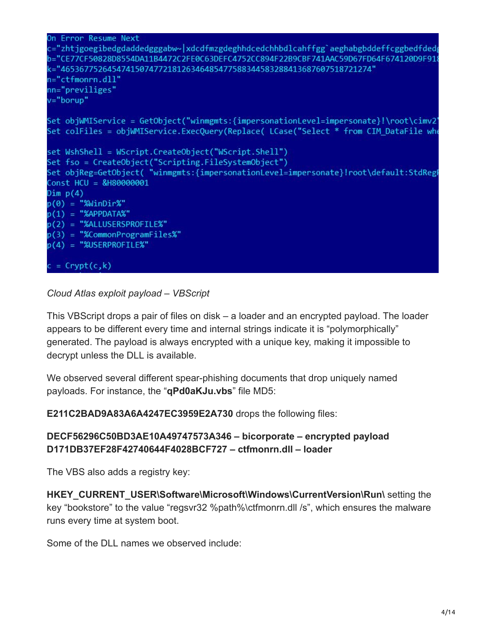```
On Error Resume Next
c="zhtjgoegibedgdaddedgggabw~|xdcdfmzgdeghhdcedchhbdlcahffgg`aeghabgbddeffcggbedfded
b="CE77CF50828D8554DA11B4472C2FE0C63DEFC4752CC894F22B9CBF741AAC59D67FD64F674120D9F918
k="4653677526454741507477218126346485477588344583288413687607518721274"
n="ctfmonrn.dll"
nn="previliges"
v="borup"
Set objWMIService = GetObject("winmgmts:{impersonationLevel=impersonate}!\root\cimv2'
Set colFiles = objWMIService.ExecQuery(Replace( LCase("Select * from CIM_DataFile whe
set WshShell = WScript.CreateObject("WScript.Shell")
Set fso = CreateObject("Scripting.FileSystemObject")
Set objReg=GetObject( "winmgmts:{impersonationLevel=impersonate}!root\default:StdRegF
Const HCU = &H80000001
Dim p(4)p(\theta) = "%WinDir%"
p(1) = "%APPDATA%"
p(2) = "%ALLUSERSPROFILE%"
p(3) = "%CommonProgramFiles%"
p(4) = "%USERPROFILE%"
c = Crypt(c, k)
```
#### *Cloud Atlas exploit payload – VBScript*

This VBScript drops a pair of files on disk – a loader and an encrypted payload. The loader appears to be different every time and internal strings indicate it is "polymorphically" generated. The payload is always encrypted with a unique key, making it impossible to decrypt unless the DLL is available.

We observed several different spear-phishing documents that drop uniquely named payloads. For instance, the "**qPd0aKJu.vbs**" file MD5:

**E211C2BAD9A83A6A4247EC3959E2A730** drops the following files:

#### **DECF56296C50BD3AE10A49747573A346 – bicorporate – encrypted payload D171DB37EF28F42740644F4028BCF727 – ctfmonrn.dll – loader**

The VBS also adds a registry key:

**HKEY\_CURRENT\_USER\Software\Microsoft\Windows\CurrentVersion\Run\** setting the key "bookstore" to the value "regsvr32 %path%\ctfmonrn.dll /s", which ensures the malware runs every time at system boot.

Some of the DLL names we observed include: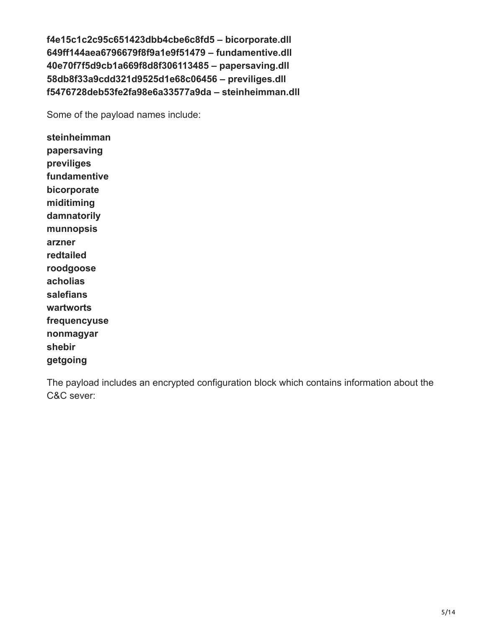**f4e15c1c2c95c651423dbb4cbe6c8fd5 – bicorporate.dll 649ff144aea6796679f8f9a1e9f51479 – fundamentive.dll 40e70f7f5d9cb1a669f8d8f306113485 – papersaving.dll 58db8f33a9cdd321d9525d1e68c06456 – previliges.dll f5476728deb53fe2fa98e6a33577a9da – steinheimman.dll**

Some of the payload names include:

**steinheimman papersaving previliges fundamentive bicorporate miditiming damnatorily munnopsis arzner redtailed roodgoose acholias salefians wartworts frequencyuse nonmagyar shebir getgoing**

The payload includes an encrypted configuration block which contains information about the C&C sever: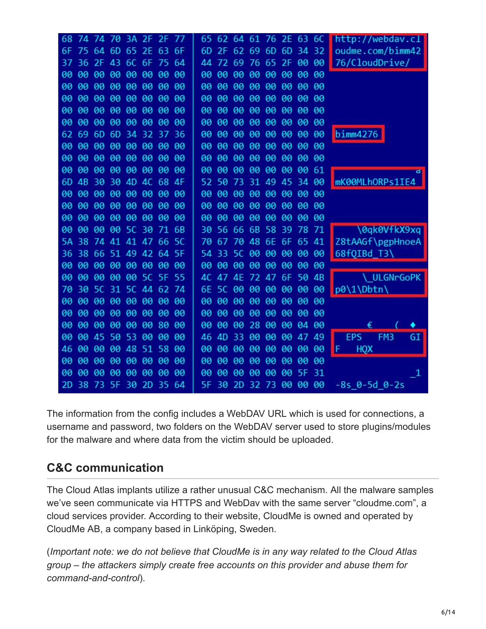| 3A 2F 2F 77<br>68<br>74 74<br>-70                | 62 64<br>61<br>76 2E 63 6C<br>65.                   | http://webdav.cl                    |
|--------------------------------------------------|-----------------------------------------------------|-------------------------------------|
| 63 6F<br>64<br>6D 65 2E<br>6F<br>75              | 69 6D 6D 34 32<br>6D<br>2F<br>62                    | oudme.com/bimm42                    |
| 2F<br>43<br>6C<br>6F<br>75 64<br>36<br>37        | 69<br>76<br>65 2F 00 00<br>72<br>44                 | 76/CloudDrive/                      |
| 00<br>00<br>00<br>00<br>00<br>00 00<br>00        | 00 00<br>00<br>00<br>00<br>00<br>00<br>00           |                                     |
| 00<br>00<br><b>øø</b><br>00<br>00<br>00<br>00 00 | 00<br><b>00</b><br>00<br>00<br>00<br>00<br>00 00    |                                     |
| 00<br>00<br>00<br>00<br>00<br>00 00<br>00        | 00<br>00<br>00<br>00<br>00<br>00 00<br>00           |                                     |
| 00<br>00<br>00<br>00<br>00<br>00<br>00<br>00     | 00<br>00<br>00<br>00 00<br>00<br>00<br>00           |                                     |
| 00<br>00<br>00<br>00<br>00<br>00<br>-00<br>00    | 00<br>00<br>00<br>00<br>00 00<br>00<br>00           |                                     |
| 62<br>69<br>6 <sub>D</sub><br>6D 34 32<br>37 36  | <b>a</b><br>00<br>00<br>00 00<br>00 00<br>00        | bimm4276                            |
| 00<br>00<br>00<br>00<br>00<br>00 00<br>00        | 00<br>00<br>00<br>00<br>00<br>00<br>00<br>-00       |                                     |
| 00<br>00<br>00<br>00<br>00<br>00<br>00<br>00     | 00<br>00<br>00<br>00<br>00<br>00 00<br>00           |                                     |
| 00<br>00<br>00<br>00<br>00<br>00<br>00<br>00     | 00<br>00<br>00<br>00<br>00<br>00<br>00 61           |                                     |
| 68 4F<br>6D<br>AB<br>30<br>30<br>4D 4C           | 49 45 34 00<br>31<br>52<br>50<br>-73                | mK00MLhORPs1IE4                     |
| 00<br>00<br>00<br>00<br>00<br>00 00<br>00        | 00<br>00<br>00<br>00<br>00<br>00<br>00 00           |                                     |
| 00<br>00<br>00<br>00<br>00 00<br>00 00           | 00<br>00<br>00<br>00<br>00 00<br>00 00              |                                     |
| 00<br>00<br>00 00<br>00<br>00<br>00 00           | 00<br>00<br>00<br>00 00<br>00<br>00<br>00           |                                     |
| 00<br>00 00 50 30<br>71 6B<br>00                 | 56 66<br>6B 58 39 78 71<br>30                       | \0qk0VfkX9xq                        |
| 74 41 41 47 66 5C<br>38<br>5Α                    | 70 48 6E 6F 65 41<br>67<br>70                       | Z8tAAGf\pgpHnoeA                    |
| 38 66 51 49 42 64 5F<br>36                       | 00 00 00 00 00<br>54<br><b>5C</b><br>-33            | 68fQIBd_T3\                         |
| 00<br>00<br>00<br>00 00<br>00 00<br>90           | 00 00<br>00<br>00<br>00<br>00 00<br>00              |                                     |
| 00<br>00<br>00<br>00 00 5C 5F 55                 | 6F 50 4B<br>47 4F<br>72 47<br>4C.                   | ULGNrGoPK                           |
| <b>5C</b><br>31 5C 44 62 74<br>70<br>30          | 00 00 00 00<br>00<br>00<br>6E.<br>5C                | p0\1\Dbtn\                          |
| 00<br>00 00 00<br>00<br>00<br>00 00              | 00<br>00<br>00<br>00 00<br>00 00<br>00              |                                     |
| 00<br>90<br>00<br>00<br>00<br>00 00<br>90        | 00<br>00<br>00 00<br>00<br>00<br>00<br>00           |                                     |
| 00<br>00<br>00<br>00<br>00 00<br>80 00           | 00<br>00<br>00<br>28 00 00<br>04 00                 |                                     |
| 45<br>50<br>-53<br>00<br>00 00<br>00<br>00       | 33<br>00<br>00 00<br>47 49<br>4D<br>46              | FM <sub>3</sub><br><b>EPS</b><br>GI |
| 00<br>48 51<br>58 00<br>46<br>00<br>00           | 00<br>00 00<br>00 00<br>00<br>00<br>00              | F.<br><b>HQX</b>                    |
| 00<br>00<br>00<br>00<br>00<br>00 00<br>00        | 00<br>00<br>00<br>00<br>00<br>00<br>00 00           |                                     |
| 00<br>90<br>00<br>00<br>00<br>00<br>00 00        | 00<br>00<br>00<br>00<br>00<br><b>5F</b><br>31<br>00 | 1                                   |
| 73<br>5F 30<br>2D<br>35 64<br>2D<br>38           | 2D<br>32 73 00 00 00<br>5F<br>30                    | $-8s$ 0-5d 0-2s                     |

The information from the config includes a WebDAV URL which is used for connections, a username and password, two folders on the WebDAV server used to store plugins/modules for the malware and where data from the victim should be uploaded.

## **C&C communication**

The Cloud Atlas implants utilize a rather unusual C&C mechanism. All the malware samples we've seen communicate via HTTPS and WebDav with the same server "cloudme.com", a cloud services provider. According to their website, CloudMe is owned and operated by CloudMe AB, a company based in Linköping, Sweden.

(*Important note: we do not believe that CloudMe is in any way related to the Cloud Atlas group – the attackers simply create free accounts on this provider and abuse them for command-and-control*).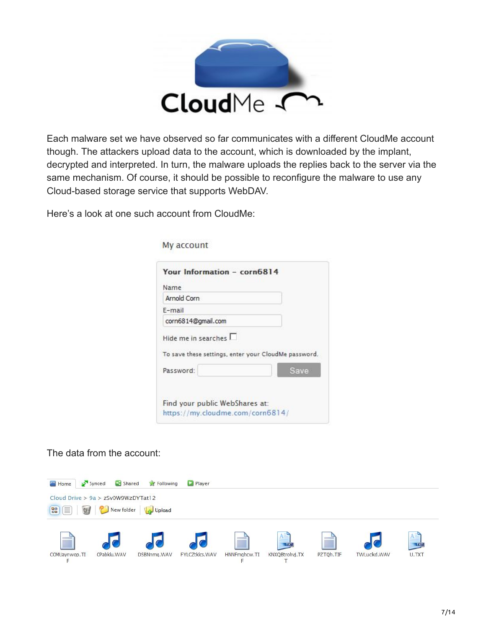

Each malware set we have observed so far communicates with a different CloudMe account though. The attackers upload data to the account, which is downloaded by the implant, decrypted and interpreted. In turn, the malware uploads the replies back to the server via the same mechanism. Of course, it should be possible to reconfigure the malware to use any Cloud-based storage service that supports WebDAV.

Here's a look at one such account from CloudMe:

My account

| Name                                                 |      |
|------------------------------------------------------|------|
| Arnold Corn                                          |      |
| E-mail                                               |      |
| corn6814@gmail.com                                   |      |
| Hide me in searches $\Box$                           |      |
| To save these settings, enter your CloudMe password. |      |
| Password:                                            | Save |
|                                                      |      |

The data from the account:

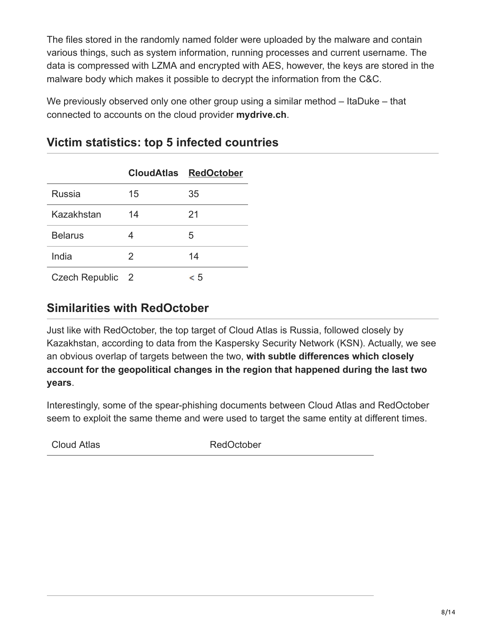The files stored in the randomly named folder were uploaded by the malware and contain various things, such as system information, running processes and current username. The data is compressed with LZMA and encrypted with AES, however, the keys are stored in the malware body which makes it possible to decrypt the information from the C&C.

We previously observed only one other group using a similar method – ItaDuke – that connected to accounts on the cloud provider **mydrive.ch**.

|                  |    | <b>CloudAtlas RedOctober</b> |
|------------------|----|------------------------------|
| Russia           | 15 | 35                           |
| Kazakhstan       | 14 | 21                           |
| <b>Belarus</b>   |    | 5                            |
| India            | 2  | 14                           |
| Czech Republic 2 |    | c 5                          |

### **Victim statistics: top 5 infected countries**

### **Similarities with RedOctober**

Just like with RedOctober, the top target of Cloud Atlas is Russia, followed closely by Kazakhstan, according to data from the Kaspersky Security Network (KSN). Actually, we see an obvious overlap of targets between the two, **with subtle differences which closely account for the geopolitical changes in the region that happened during the last two years**.

Interestingly, some of the spear-phishing documents between Cloud Atlas and RedOctober seem to exploit the same theme and were used to target the same entity at different times.

Cloud Atlas **RedOctober**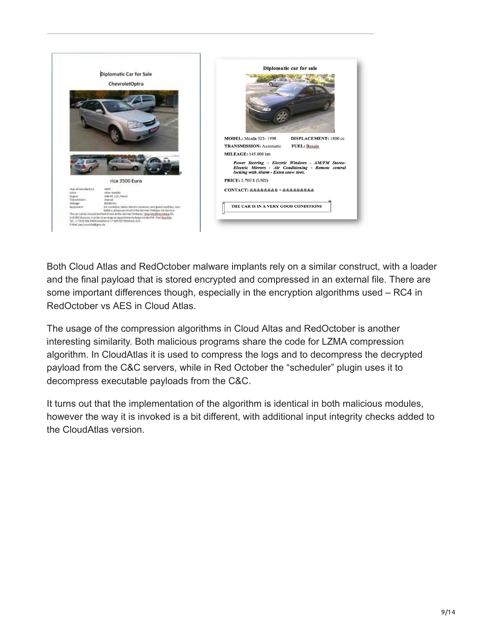

Both Cloud Atlas and RedOctober malware implants rely on a similar construct, with a loader and the final payload that is stored encrypted and compressed in an external file. There are some important differences though, especially in the encryption algorithms used – RC4 in RedOctober vs AES in Cloud Atlas.

The usage of the compression algorithms in Cloud Altas and RedOctober is another interesting similarity. Both malicious programs share the code for LZMA compression algorithm. In CloudAtlas it is used to compress the logs and to decompress the decrypted payload from the C&C servers, while in Red October the "scheduler" plugin uses it to decompress executable payloads from the C&C.

It turns out that the implementation of the algorithm is identical in both malicious modules, however the way it is invoked is a bit different, with additional input integrity checks added to the CloudAtlas version.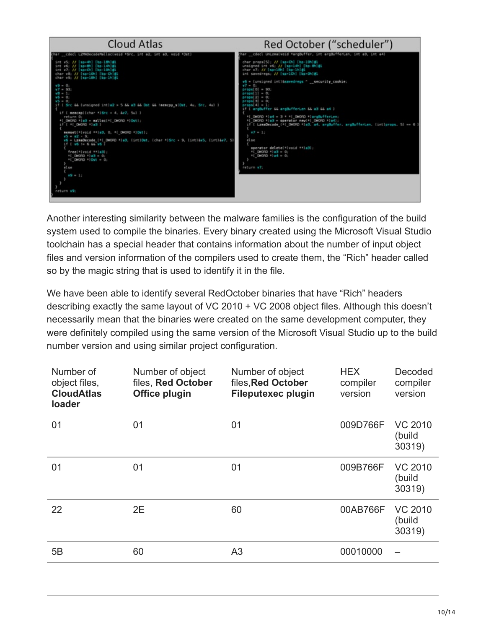

Another interesting similarity between the malware families is the configuration of the build system used to compile the binaries. Every binary created using the Microsoft Visual Studio toolchain has a special header that contains information about the number of input object files and version information of the compilers used to create them, the "Rich" header called so by the magic string that is used to identify it in the file.

We have been able to identify several RedOctober binaries that have "Rich" headers describing exactly the same layout of VC 2010 + VC 2008 object files. Although this doesn't necessarily mean that the binaries were created on the same development computer, they were definitely compiled using the same version of the Microsoft Visual Studio up to the build number version and using similar project configuration.

| Number of<br>object files,<br><b>CloudAtlas</b><br>loader | Number of object<br>files, Red October<br><b>Office plugin</b> | Number of object<br>files, Red October<br><b>Fileputexec plugin</b> | <b>HEX</b><br>compiler<br>version | Decoded<br>compiler<br>version     |
|-----------------------------------------------------------|----------------------------------------------------------------|---------------------------------------------------------------------|-----------------------------------|------------------------------------|
| 01                                                        | 01                                                             | 01                                                                  | 009D766F                          | <b>VC 2010</b><br>(build<br>30319) |
| 01                                                        | 01                                                             | 01                                                                  | 009B766F                          | <b>VC 2010</b><br>(build<br>30319) |
| 22                                                        | 2E                                                             | 60                                                                  | 00AB766F                          | <b>VC 2010</b><br>(build<br>30319) |
| 5B                                                        | 60                                                             | A <sub>3</sub>                                                      | 00010000                          |                                    |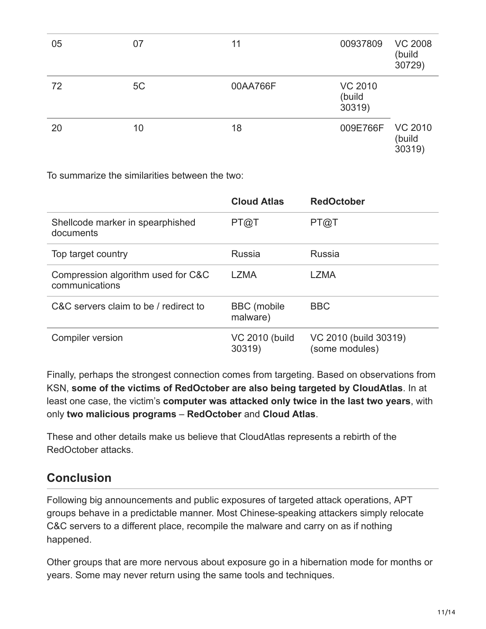| 05 | 07 | 11       | 00937809                           | <b>VC 2008</b><br>(build<br>30729) |
|----|----|----------|------------------------------------|------------------------------------|
| 72 | 5C | 00AA766F | <b>VC 2010</b><br>(build<br>30319) |                                    |
| 20 | 10 | 18       | 009E766F                           | <b>VC 2010</b><br>(build<br>30319) |

To summarize the similarities between the two:

|                                                      | <b>Cloud Atlas</b>               | <b>RedOctober</b>                       |
|------------------------------------------------------|----------------------------------|-----------------------------------------|
| Shellcode marker in spearphished<br>documents        | PT@T                             | PT@T                                    |
| Top target country                                   | <b>Russia</b>                    | <b>Russia</b>                           |
| Compression algorithm used for C&C<br>communications | <b>LZMA</b>                      | LZMA                                    |
| C&C servers claim to be / redirect to                | <b>BBC</b> (mobile<br>malware)   | <b>BBC</b>                              |
| Compiler version                                     | <b>VC 2010 (build)</b><br>30319) | VC 2010 (build 30319)<br>(some modules) |

Finally, perhaps the strongest connection comes from targeting. Based on observations from KSN, **some of the victims of RedOctober are also being targeted by CloudAtlas**. In at least one case, the victim's **computer was attacked only twice in the last two years**, with only **two malicious programs** – **RedOctober** and **Cloud Atlas**.

These and other details make us believe that CloudAtlas represents a rebirth of the RedOctober attacks.

#### **Conclusion**

Following big announcements and public exposures of targeted attack operations, APT groups behave in a predictable manner. Most Chinese-speaking attackers simply relocate C&C servers to a different place, recompile the malware and carry on as if nothing happened.

Other groups that are more nervous about exposure go in a hibernation mode for months or years. Some may never return using the same tools and techniques.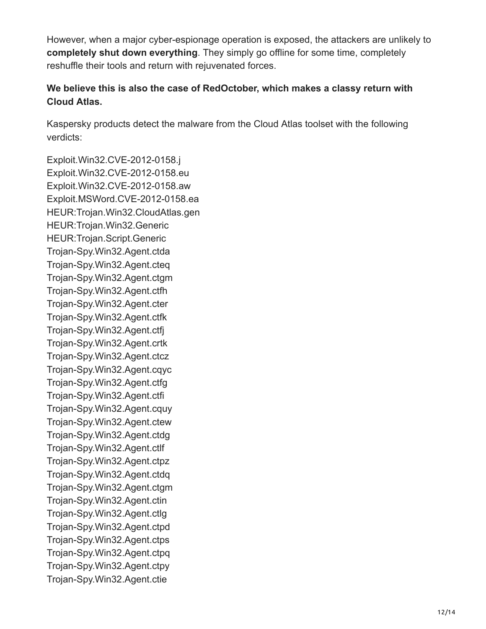However, when a major cyber-espionage operation is exposed, the attackers are unlikely to **completely shut down everything**. They simply go offline for some time, completely reshuffle their tools and return with rejuvenated forces.

#### **We believe this is also the case of RedOctober, which makes a classy return with Cloud Atlas.**

Kaspersky products detect the malware from the Cloud Atlas toolset with the following verdicts:

Exploit.Win32.CVE-2012-0158.j Exploit.Win32.CVE-2012-0158.eu Exploit.Win32.CVE-2012-0158.aw Exploit.MSWord.CVE-2012-0158.ea HEUR:Trojan.Win32.CloudAtlas.gen HEUR:Trojan.Win32.Generic HEUR:Trojan.Script.Generic Trojan-Spy.Win32.Agent.ctda Trojan-Spy.Win32.Agent.cteq Trojan-Spy.Win32.Agent.ctgm Trojan-Spy.Win32.Agent.ctfh Trojan-Spy.Win32.Agent.cter Trojan-Spy.Win32.Agent.ctfk Trojan-Spy.Win32.Agent.ctfj Trojan-Spy.Win32.Agent.crtk Trojan-Spy.Win32.Agent.ctcz Trojan-Spy.Win32.Agent.cqyc Trojan-Spy.Win32.Agent.ctfg Trojan-Spy.Win32.Agent.ctfi Trojan-Spy.Win32.Agent.cquy Trojan-Spy.Win32.Agent.ctew Trojan-Spy.Win32.Agent.ctdg Trojan-Spy.Win32.Agent.ctlf Trojan-Spy.Win32.Agent.ctpz Trojan-Spy.Win32.Agent.ctdq Trojan-Spy.Win32.Agent.ctgm Trojan-Spy.Win32.Agent.ctin Trojan-Spy.Win32.Agent.ctlg Trojan-Spy.Win32.Agent.ctpd Trojan-Spy.Win32.Agent.ctps Trojan-Spy.Win32.Agent.ctpq Trojan-Spy.Win32.Agent.ctpy Trojan-Spy.Win32.Agent.ctie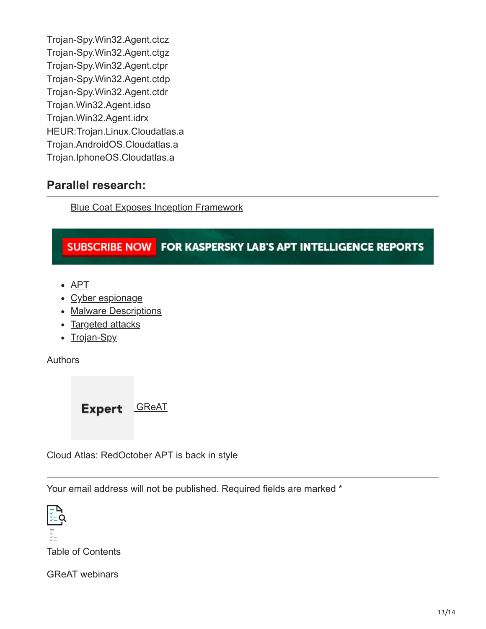Trojan-Spy.Win32.Agent.ctcz Trojan-Spy.Win32.Agent.ctgz Trojan-Spy.Win32.Agent.ctpr Trojan-Spy.Win32.Agent.ctdp Trojan-Spy.Win32.Agent.ctdr Trojan.Win32.Agent.idso Trojan.Win32.Agent.idrx HEUR:Trojan.Linux.Cloudatlas.a Trojan.AndroidOS.Cloudatlas.a Trojan.IphoneOS.Cloudatlas.a

#### **Parallel research:**

[Blue Coat Exposes Inception Framework](https://www.bluecoat.com/security-blog/2014-12-09/blue-coat-exposes-%E2%80%9C-inception-framework%E2%80%9D-very-sophisticated-layered-malware)

#### SUBSCRIBE NOW FOR KASPERSKY LAB'S APT INTELLIGENCE REPORTS

- [APT](https://securelist.com/tag/apt/)
- [Cyber espionage](https://securelist.com/tag/cyber-espionage/)
- [Malware Descriptions](https://securelist.com/tag/malware-descriptions/)
- [Targeted attacks](https://securelist.com/tag/targeted-attacks/)
- [Trojan-Spy](https://securelist.com/tag/trojan-spy/)

Authors

Expert [GReAT](https://securelist.com/author/great/)

Cloud Atlas: RedOctober APT is back in style

Your email address will not be published. Required fields are marked \*



Table of Contents

GReAT webinars